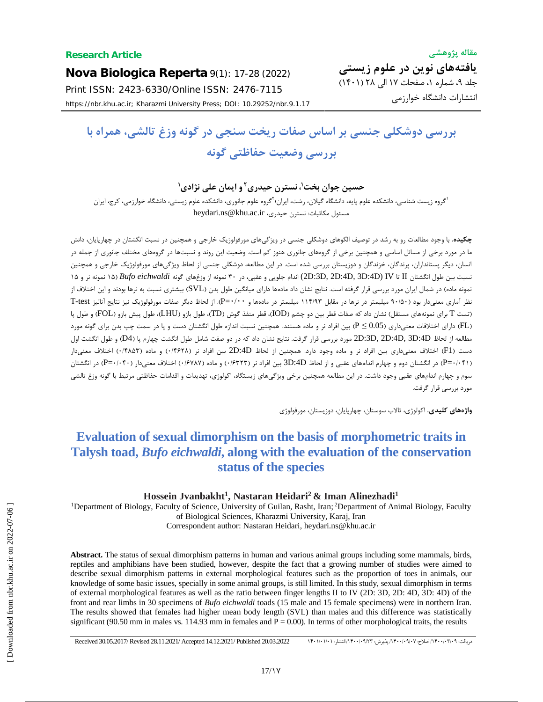**Nova Biologica Reperta** 9(1): 17-28 (2022) Print ISSN: 2423-6330/Online ISSN: 2476-7115 https://nbr.khu.ac.ir; Kharazmi University Press; DOI: 10.29252/nbr.9.1.17

# **بررسی دوشکلی جنسی بر اساس صفات ریخت سنجی در گونه وزغ تالشی، همراه با بررسی وضعیت حفاظتی گونه**

**، نسترن حیدري <sup>1</sup> حسین جوان بخت 2 و ایمان علی نژادي<sup>1</sup>**

'گروه زیست شناسی، دانشکده علوم پایه، دانشگاه گیلان، رشت، ایران؛'گروه علوم جانوری، دانشکده علوم زیستی، دانشگاه خوارزمی، کرج، ایران heydari.ns@khu.ac.ir ،مسئول مکاتبات: نسترن حیدری،

**چکیده.** با وجود مطالعات رو به رشد در توصیف الگوهاي دوشکلی جنسی در ویژگیهاي مورفولوژیک خارجی و همچنین در نسبت انگشتان درچهارپایان، دانش ما در مورد برخی از مسائل اساسی و همچنین برخی از گروههاي جانوري هنوز کم است. وضعیت این روند و نسبتها در گروههاي مختلف جانوري از جمله در انسان، دیگر پستانداران، پرندگان، خزندگان و دوزیستان بررسی شده است. در این مطالعه، دوشکلی جنسی از لحاظ ویژگیهاي مورفولوژیک خارجی و همچنین نسبت بین طول انگشتان II تا IV) D:4D3 ,D:4D2 ,D:3D2 (اندام جلویی و عقبی، در 30 نمونه از وزغهاي گونه *eichwaldi Bufo*) 15 نمونه نر و 15 نمونه ماده) در شمال ایران مورد بررسی قرار گرفته است. نتایج نشان داد مادهها دارای میانگین طول بدن (SVL) بیشتری نسبت به نرها بودند و این اختلاف از نظر آماري معنیدار بود (90/50 میلیمتر در نرها در مقابل 114/93 میلیمتر در مادهها و ٠/٠٠=P(. از لحاظ دیگر صفات مورفولوژیک نیز نتایج آنالیز test-T (تست T براي نمونههاي مستقل) نشان داد که صفات قطر بین دوچشم (IOD(، قطر منفذ گوش (TD(، طول بازو (LHU(، طول پیش بازو (FOL (و طول پا (FL (داراي اختلافات معنیداري (0.05 ≥ P (بین افراد نر و ماده هستند. همچنین نسبت اندازه طول انگشتان دست و پا در سمت چپ بدن براي گونه مورد مطالعه از لحاظ D:4D3 ,D:4D2 ,D:3D2 مورد بررسی قرار گرفت. نتایج نشان داد که در دو صفت شامل طول انگشت چهارم پا (4D (و طول انگشت اول دست (1F (اختلاف معنیداري بین افراد نر و ماده وجود دارد. همچنین از لحاظ D:4D2 بین افراد نر (0/4628) و ماده (0/4853) اختلاف معنیدار (0/041=P (در انگشتان دوم و چهارم اندامهاي عقبی و از لحاظ D:4D3 بین افراد نر (0/6323) و ماده (0/6787) اختلاف معنیدار (0/040=P (در انگشتان سوم و چهارم اندامهاي عقبی وجود داشت. در این مطالعه همچنین برخی ویژگیهاي زیستگاه، اکولوژي، تهدیدات و اقدامات حفاظتی مرتبط با گونه وزغ تالشی مورد بررسی قرار گرفت.

**واژههاي کلیدي.** اکولوژي، تالاب سوستان، چهارپایان، دوزیستان، مورفولوژي

## **Evaluation of sexual dimorphism on the basis of morphometric traits in Talysh toad,** *Bufo eichwaldi***, along with the evaluation of the conservation status of the species**

**Hossein Jvanbakht<sup>1</sup> , Nastaran Heidari<sup>2</sup> & Iman Alinezhadi<sup>1</sup>**

<sup>1</sup>Department of Biology, Faculty of Science, University of Guilan, Rasht, Iran; <sup>2</sup>Department of Animal Biology, Faculty of Biological Sciences, Kharazmi University, Karaj, Iran Correspondent author: Nastaran Heidari, heydari.ns@khu.ac.ir

**Abstract.** The status of sexual dimorphism patterns in human and various animal groups including some mammals, birds, reptiles and amphibians have been studied, however, despite the fact that a growing number of studies were aimed to describe sexual dimorphism patterns in external morphological features such as the proportion of toes in animals, our knowledge of some basic issues, specially in some animal groups, is still limited. In this study, sexual dimorphism in terms of external morphological features as well as the ratio between finger lengths II to IV (2D: 3D, 2D: 4D, 3D: 4D) of the front and rear limbs in 30 specimens of *Bufo eichwaldi* toads (15 male and 15 female specimens) were in northern Iran. The results showed that females had higher mean body length (SVL) than males and this difference was statistically significant (90.50 mm in males vs. 114.93 mm in females and  $P = 0.00$ ). In terms of other morphological traits, the results

دریافت: 1400/05/07 اصلاح: /1400/07/07 پذیرش: ١٩٢٣/١٠/١٣ انتشار: /1400/08.2022 Pecceived 30.05.2017/ Revised 28.11.2021/ Accepted 14.12.2021/ Published 20.03.2022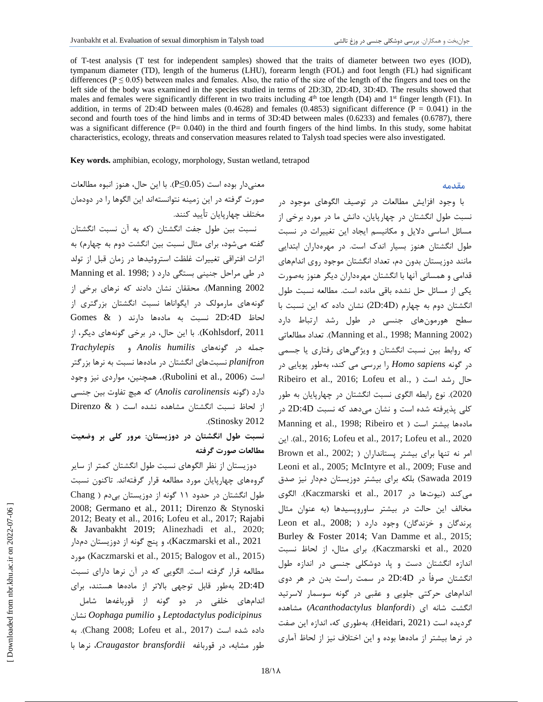of T-test analysis (T test for independent samples) showed that the traits of diameter between two eyes (IOD), tympanum diameter (TD), length of the humerus (LHU), forearm length (FOL) and foot length (FL) had significant differences ( $P \le 0.05$ ) between males and females. Also, the ratio of the size of the length of the fingers and toes on the left side of the body was examined in the species studied in terms of 2D:3D, 2D:4D, 3D:4D. The results showed that males and females were significantly different in two traits including  $4<sup>th</sup>$  toe length (D4) and  $1<sup>st</sup>$  finger length (F1). In addition, in terms of 2D:4D between males  $(0.4628)$  and females  $(0.4853)$  significant difference  $(P = 0.041)$  in the second and fourth toes of the hind limbs and in terms of 3D:4D between males (0.6233) and females (0.6787), there was a significant difference  $(P= 0.040)$  in the third and fourth fingers of the hind limbs. In this study, some habitat characteristics, ecology, threats and conservation measures related to Talysh toad species were also investigated.

**Key words.** amphibian, ecology, morphology, Sustan wetland, tetrapod

معنیدار بوده است (0.05≥P(. با این حال، هنوز انبوه مطالعات صورت گرفته در این زمینه نتوانستهاند این الگوها را در دودمان مختلف چهارپایان تأیید کنند. نسبت بین طول جفت انگشتان (که به آن نسبت انگشتان گفته میشود، براي مثال نسبت بین انگشت دوم به چهارم) به اثرات افتراقی تغییرات غلظت استروئیدها در زمان قبل از تولد در طی مراحل جنینی بستگی دارد ( ;Manning et al. 1998 2002 Manning(. محققان نشان دادند که نرهاي برخی از گونههاي مارمولک در ایگواناها نسبت انگشتان بزرگتري از لحاظ D:4D2 نسبت به مادهها دارند ( & Gomes 2011 ,Kohlsdorf(. با این حال، در برخی گونههاي دیگر، از جمله در گونههاي *humilis Anolis* و *Trachylepis planifron* نسبتهاي انگشتان در مادهها نسبت به نرها بزرگتر است (2006 .,al et Rubolini(. همچنین، مواردي نیز وجود دارد (گونه *carolinensis Anolis* (که هیچ تفاوت بین جنسی از لحاظ نسبت انگشتان مشاهده نشده است ( & Direnzo .(Stinosky 2012

**نسبت طول انگشتان در دوزیستان: مرور کلی بر وضعیت مطالعات صورت گرفته**

دوزیستان از نظر الگوهاي نسبت طول انگشتان کمتر از سایر گروههاي چهارپایان مورد مطالعه قرار گرفتهاند. تاکنون نسبت طول انگشتان در حدود 11 گونه از دوزیستان بیدم ( Chang 2008; Germano et al., 2011; Direnzo & Stynoski 2012; Beaty et al., 2016; Lofeu et al., 2017; Rajabi & Javanbakht 2019; Alinezhadi et al., 2020; 2021 .,al et Kaczmarski(، و پنج گونه از دوزیستان دمدار مورد) Kaczmarski et al., 2015; Balogov et al., 2015) مطالعه قرار گرفته است. الگویی که در آن نرها داراي نسبت D:4D2 بهطور قابل توجهی بالاتر از مادهها هستند، براي اندامهاي خلفی در دو گونه از قورباغهها شامل نشان *Oophaga pumilio* و *Leptodactylus podicipinus* داده شده است (2017 .,al et Lofeu; 2008 Chang(. به طور مشابه، در قورباغه *bransfordii Craugastor*، نرها با

با وجود افزایش مطالعات در توصیف الگوهاي موجود در نسبت طول انگشتان در چهارپایان، دانش ما در مورد برخی از مسائل اساسی دلایل و مکانیسم ایجاد این تغییرات در نسبت طول انگشتان هنوز بسیار اندك است. در مهرهداران ابتدایی مانند دوزیستان بدون دم، تعداد انگشتان موجود روي اندامهاي قدامی و همسانی آنها با انگشتان مهرهداران دیگر هنوز بهصورت یکی از مسائل حل نشده باقی مانده است. مطالعه نسبت طول انگشتان دوم به چهارم (D:4D2 (نشان داده که این نسبت با سطح هورمونهاي جنسی در طول رشد ارتباط دارد مطالعاتی تعداد .)Manning et al., 1998; Manning 2002) که روابط بین نسبت انگشتان و ویژگیهاي رفتاري یا جسمی در گونه *sapiens Homo* را بررسی می کند، بهطور پویایی در Ribeiro et al., 2016; Lofeu et al., ) است رشد حال 2020). نوع رابطه الگوي نسبت انگشتان در چهارپایان به طور کلی پذیرفته شده است و نشان میدهد که نسبت D:4D2 در Manning et al., 1998; Ribeiro et ) است راست بیشتر است این .)al., 2016; Lofeu et al., 2017; Lofeu et al., 2020  $Brown$  et al.,  $2002$ ; ) امر نه تنها برای بیشتر پستانداران Leoni et al., 2005; McIntyre et al., 2009; Fuse and 2019 Sawada (بلکه براي بیشتر دوزیستان دمدار نیز صدق میکند (نیوتها در 2017 .,al et Kaczmarski(. الگوي مخالف این حالت در بیشتر ساوروپسیدها (به عنوان مثال Leon et al.,  $2008$ ; ) وجود دارد ( .Leon et al Burley & Foster 2014; Van Damme et al., 2015; 2020 .,al et Kaczmarski(. براي مثال، از لحاظ نسبت اندازه انگشتان دست و پا، دوشکلی جنسی در اندازه طول انگشتان صرفاً در D:4D2 در سمت راست بدن در هر دوي اندامهاي حرکتی جلویی و عقبی در گونه سوسمار لاسرتید انگشت شانه اي (*blanfordi Acanthodactylus* (مشاهده گردیده است (2021 ,Heidari(. بهطوري که، اندازه این صفت در نرها بیشتر از مادهها بوده و این اختلاف نیز از لحاظ آماري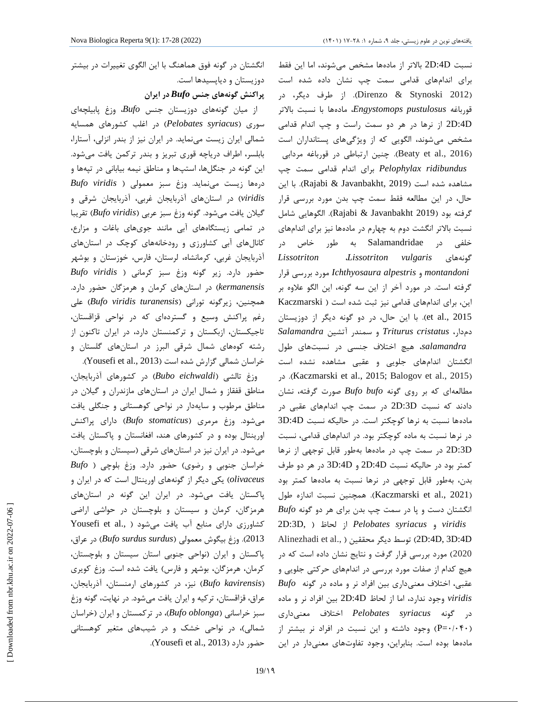نسبت D:4D2 بالاتر از مادهها مشخص میشوند، اما این فقط براي اندامهاي قدامی سمت چپ نشان داده شده است (2012 Stynoski & Direnzo(. از طرف دیگر، در قورباغه *pustulosus Engystomops*، مادهها با نسبت بالاتر D:4D2 از نرها در هر دو سمت راست و چپ اندام قدامی مشخص میشوند، الگویی که از ویژگیهاي پستانداران است (Beaty et al., 2016). چنین ارتباطی در قورباغه مردابی *ridibundus Pelophylax* براي اندام قدامی سمت چپ مشاهده شده است (2019 ,Javanbakht & Rajabi(. با این حال، در این مطالعه فقط سمت چپ بدن مورد بررسی قرار گرفته بود (2019 Javanbakht & Rajabi(. الگوهایی شامل نسبت بالاتر انگشت دوم به چهارم در مادهها نیز براي اندامهاي خلفی در Salamandridae به طور خاص در *Lissotriton* ،*Lissotriton vulgaris* گونههاي *montandoni* و *alpestris Ichthyosaura* مورد بررسی قرار گرفته است. در مورد آخر از این سه گونه، این الگو علاوه بر این، براي اندامهاي قدامی نیز ثبت شده است ( Kaczmarski 2015 .,al et(. با این حال، در دو گونه دیگر از دوزیستان دمدار، *cristatus Triturus* و سمندر آتشین *Salamandra salamandra*، هیچ اختلاف جنسی در نسبتهاي طول انگشتان اندامهاي جلویی و عقبی مشاهده نشده است در .)Kaczmarski et al., 2015; Balogov et al., 2015) مطالعهاي که بر روي گونه *bufo Bufo* صورت گرفته، نشان دادند که نسبت D:3D2 در سمت چپ اندامهاي عقبی در مادهها نسبت به نرها کوچکتر است. در حالیکه نسبت D:4D3 در نرها نسبت به ماده کوچکتر بود. در اندامهاي قدامی، نسبت D:3D2 در سمت چپ در مادهها بهطور قابل توجهی از نرها کمتر بود در حالیکه نسبت D:4D2 و D:4D3 در هر دو طرف بدن، بهطور قابل توجهی در نرها نسبت به مادهها کمتر بود (Kaczmarski et al., 2021). همچنین نسبت اندازه طول انگشتان دست و پا در سمت چپ بدن براي هر دو گونه *Bufo* 2D:3D, ) لحاظ از *Pelobates syriacus* و *viridis* Alinezhadi et al., ) محققین دیگر توسط) 2D:4D, 3D:4D 2020) مورد بررسی قرار گرفت و نتایج نشان داده است که در هیچ کدام از صفات مورد بررسی در اندامهاي حرکتی جلویی و عقبی، اختلاف معنیداري بین افراد نر و ماده در گونه *Bufo viridis* وجود ندارد، اما از لحاظ D:4D2 بین افراد نر و ماده در گونه *syriacus Pelobates* اختلاف معنیداري (0/040=P (وجود داشته و این نسبت در افراد نر بیشتر از مادهها بوده است. بنابراین، وجود تفاوتهاي معنیدار در این

انگشتان در گونه فوق هماهنگ با این الگوي تغییرات در بیشتر دوزیستان و دیاپسیدها است.

**پراکنش گونههاي جنس** *Bufo* **در ایران**

از میان گونههاي دوزیستان جنس *Bufo*، وزغ پابیلچهاي سوري (*syriacus Pelobates* (در اغلب کشورهاي همسایه شمالی ایران زیست مینماید. در ایران نیز از بندر انزلی، آستارا، بابلسر، اطراف دریاچه قوري تبریز و بندر ترکمن یافت میشود. این گونه در جنگلها، استپها و مناطق نیمه بیابانی در تپهها و درهها زیست مینماید. وزغ سبز معمولی ( *viridis Bufo viridis* (در استانهاي آذربایجان غربی، آذربایجان شرقی و گیلان یافت میشود. گونه وزغ سبز عربی (*viridis Bufo* (تقریبا در تمامی زیستگاههاي آبی مانند جويهاي باغات و مزارع، کانالهاي آبی کشاورزي و رودخانههاي کوچک در استانهاي آذربایجان غربی، کرمانشاه، لرستان، فارس، خوزستان و بوشهر حضور دارد. زیر گونه وزغ سبز کرمانی ( *viridis Bufo kermanensis* (در استانهاي کرمان و هرمزگان حضور دارد. همچنین، زیرگونه تورانی (*turanensis viridis Bufo* (علی رغم پراکنش وسیع و گستردهاي که در نواحی قزاقستان، تاجیکستان، ازبکستان و ترکمنستان دارد، در ایران تاکنون از رشته کوههاي شمال شرقی البرز در استانهاي گلستان و خراسان شمالی گزارش شده است (Yousefi et al., 2013).

وزغ تالشی (*eichwaldi Bubo* (در کشورهاي آذربایجان، مناطق قفقاز و شمال ایران در استانهاي مازندران و گیلان در مناطق مرطوب و سایهدار در نواحی کوهستانی و جنگلی یافت میشود. وزغ مرمري (*stomaticus Bufo* (داراي پراکنش اورینتال بوده و در کشورهاي هند، افغانستان و پاکستان یافت میشود. در ایران نیز در استانهاي شرقی (سیستان و بلوچستان، خراسان جنوبی و رضوي) حضور دارد. وزغ بلوچی ( *Bufo olivaceus* (یکی دیگر از گونههاي اورینتال است که در ایران و پاکستان یافت میشود. در ایران این گونه در استانهاي هرمزگان، کرمان و سیستان و بلوچستان در حواشی اراضی کشاورزي داراي منابع آب يافت مي شود ( .Yousefi et al 2013). وزغ بیگوش معمولی (*surdus surdus Bufo* (در عراق، پاکستان و ایران (نواحی جنوبی استان سیستان و بلوچستان، کرمان، هرمزگان، بوشهر و فارس) یافت شده است. وزغ کویري (*kavirensis Bufo* (نیز، در کشورهاي ارمنستان، آذربایجان، عراق، قزاقستان، ترکیه و ایران یافت میشود. در نهایت، گونه وزغ سبز خراسانی (Bufo oblonga)، در ترکمستان و ایران (خراسان<br>شمالی)، در نواحی خشک و در شیبهای متغیر کوهستانی .(Yousefi et al., 2013) دارد حضور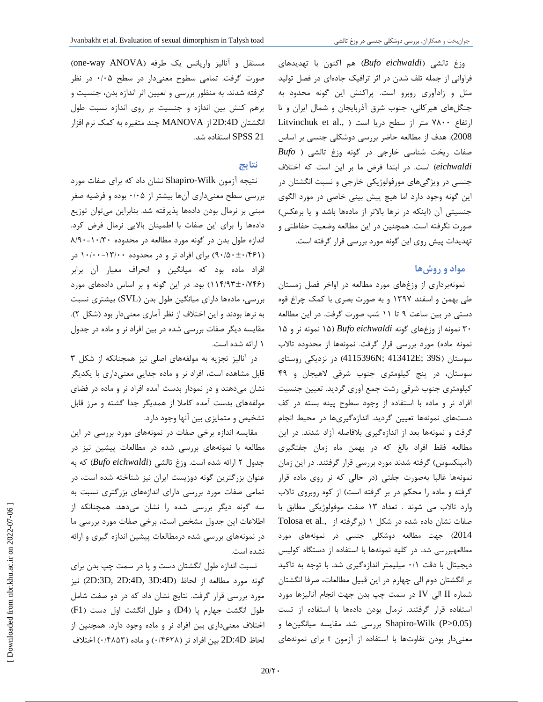وزغ تالشی (*eichwaldi Bufo* (هم اکنون با تهدیدهاي فراوانی از جمله تلف شدن در اثر ترافیک جادهاي در فصل تولید مثل و زادآوري روبرو است. پراکنش این گونه محدود به جنگلهاي هیرکانی، جنوب شرق آذربایجان و شمال ایران و تا ارتفاع ۷۸۰۰ متر از سطح دریا است ( .Litvinchuk et al 2008). هدف از مطالعه حاضر بررسی دوشکلی جنسی بر اساس صفات ریخت شناسی خارجی در گونه وزغ تالشی ( *Bufo eichwaldi* (است. در ابتدا فرض ما بر این است که اختلاف **نتایج** جنسی در ویژگیهاي مورفولوژیکی خارجی و نسبت انگشتان در این گونه وجود دارد اما هیچ پیش بینی خاصی در مورد الگوي جنسیتی آن (اینکه در نرها بالاتر از مادهها باشد و یا برعکس) صورت نگرفته است. همچنین در این مطالعه وضعیت حفاظتی و تهدیدات پیش روي این گونه مورد بررسی قرار گرفته است.

#### **مواد و روشها**

نمونهبرداري از وزغهاي مورد مطالعه در اواخر فصل زمستان طی بهمن و اسفند 1397 و به صورت بصري با کمک چراغ قوه دستی در بین ساعت 9 تا 11 شب صورت گرفت. در این مطالعه 30 نمونه از وزغهاي گونه *eichwaldi Bufo*) 15 نمونه نر و 15 نمونه ماده) مورد بررسی قرار گرفت. نمونهها از محدوده تالاب سوستان (S39; E413412; N4115396 (در نزدیکی روستاي سوستان، در پنج کیلومتري جنوب شرقی لاهیجان و 49 کیلومتري جنوب شرقی رشت جمع آوري گردید. تعیین جنسیت افراد نر و ماده با استفاده از وجود سطوح پینه بسته در کف دستهاي نمونهها تعیین گردید. اندازهگیريها در محیط انجام گرفت و نمونهها بعد از اندازهگیري بلافاصله آزاد شدند. در این مطالعه فقط افراد بالغ که در بهمن ماه زمان جفتگیري (آمپلکسوس) گرفته شدند مورد بررسی قرار گرفتند. در این زمان نمونهها غالبا بهصورت جفتی (در حالی که نر روي ماده قرار گرفته و ماده را محکم در بر گرفته است) از کوه روبروي تالاب وارد تالاب می شوند . تعداد 13 صفت موفولوژیکی مطابق با صفات نشان داده شده در شکل 1 (برگرفته از .,al et Tolosa 2014) جهت مطالعه دوشکلی جنسی در نمونههاي مورد مطالعهبررسی شد. در کلیه نمونهها با استفاده از دستگاه کولیس دیجیتال با دقت 0/1 میلیمتر اندازهگیري شد. با توجه به تاکید بر انگشتان دوم الی چهارم در این قبیل مطالعات، صرفا انگشتان شماره II الی IV در سمت چپ بدن جهت انجام آنالیزها مورد استفاده قرار گرفتند. نرمال بودن دادهها با استفاده از تست (0.05<P (Wilk-Shapiro بررسی شد. مقایسه میانگینها و معنیدار بودن تفاوتها با استفاده از آزمون t براي نمونههاي

مستقل و آنالیز واریانس یک طرفه (one-way ANOVA) صورت گرفت. تمامی سطوح معنیدار در سطح 0/05 در نظر گرفته شدند. به منظور بررسی و تعیین اثر اندازه بدن، جنسیت و برهم کنش بین اندازه و جنسیت بر روي اندازه نسبت طول انگشتان D:4D2 از MANOVA چند متغیره به کمک نرم افزار 21 SPSS استفاده شد.

نتیجه آزمون Wilk-Shapiro نشان داد که براي صفات مورد بررسی سطح معنیداري آنها بیشتر از 0/05 بوده و فرضیه صفر مبنی بر نرمال بودن دادهها پذیرفته شد. بنابراین میتوان توزیع دادهها را براي اینصفات با اطمینان بالایی نرمال فرض کرد. اندازه طول بدن در گونه مورد مطالعه در محدوده 8/90-10/30 (90/50±0/461) براي افراد نر و در محدوده 10/00-13/00 در افراد ماده بود که میانگین و انحراف معیار آن برابر (114/93±0/746) بود. در این گونه و بر اساس دادههاي مورد بررسی، مادهها داراي میانگین طول بدن (SVL (بیشتري نسبت به نرها بودند و این اختلاف از نظر آماري معنیدار بود (شکل 2). مقایسه دیگر صفات بررسی شده در بین افراد نر و ماده در جدول 1 ارائه شده است.

در آنالیز تجزیه به مولفههاي اصلی نیز همچنانکه از شکل 3 قابل مشاهده است، افراد نر و ماده جدایی معنیداري با یکدیگر نشان میدهند و در نمودار بدست آمده افراد نر و ماده در فضاي مولفههاي بدست آمده کاملا از همدیگر جدا گشته و مرز قابل تشخیص و متمایزي بین آنها وجود دارد.

مقایسه اندازه برخی صفات در نمونههاي مورد بررسی در این مطالعه با نمونههاي بررسی شده در مطالعات پیشین نیز در جدول 2 ارائه شده است. وزغ تالشی (*eichwaldi Bufo* (که به عنوان بزرگترین گونه دوزیست ایران نیز شناخته شده است، در تمامی صفات مورد بررسی داراي اندازههاي بزرگتري نسبت به سه گونه دیگر بررسی شده را نشان میدهد. همچنانکه از اطلاعات این جدول مشخص است، برخی صفات مورد بررسی ما در نمونههاي بررسی شده درمطالعات پیشین اندازه گیري و ارائه نشده است.

نسبت اندازه طول انگشتان دست و پا در سمت چپ بدن براي گونه مورد مطالعه از لحاظ (D:3D, 2D:4D) نیز مورد بررسی قرار گرفت. نتایج نشان داد که در دو صفت شامل طول انگشت جهارم پا (4D (و طول انگشت اول دست (1F ( اختلاف معنیداري بین افراد نر و ماده وجود دارد. همچنین از لحاظ D:4D2 بین افراد نر (0/4628) و ماده (0/4853) اختلاف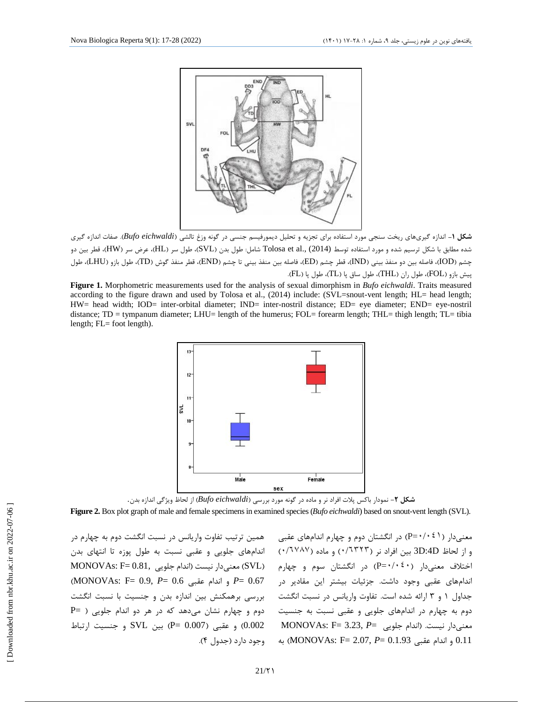

**شکل -1** اندازه گیريهاي ریخت سنجی مورد استفاده براي تجزیه و تحلیل دیمورفیسم جنسی در گونه وزغ تالشی (*eichwaldi Bufo*(. صفات اندازه گیري شده مطابق با شکل ترسیم شده و مورد استفاده توسط Tolosa et al., (2014) شامل: طول بدن (SVL)، طول سر (HW)، قطر بین دو چشم (IOD(، فاصله بین دو منفذ بینی (IND(، قطر چشم (ED(، فاصله بین منفذ بینی تا چشم (END(، قطر منفذ گوش (TD(، طول بازو (LHU(، طول پیش بازو (FOL)، طول ران (THL)، طول ساق پا (TL)، طول پا (FL).

**Figure 1.** Morphometric measurements used for the analysis of sexual dimorphism in *Bufo eichwaldi*. Traits measured according to the figure drawn and used by Tolosa et al., (2014) include: (SVL=snout-vent length; HL= head length; HW= head width; IOD= inter-orbital diameter; IND= inter-nostril distance; ED= eye diameter; END= eye-nostril distance; TD = tympanum diameter; LHU= length of the humerus; FOL= forearm length; THL= thigh length; TL= tibia length; FL= foot length).



**شکل -2** نمودار باکس پلات افراد نر و ماده در گونه مورد بررسی (*eichwaldi Bufo* (از لحاظ ویژگی اندازه بدن.

**Figure 2.** Box plot graph of male and female specimens in examined species (*Bufo eichwaldi*) based on snout-vent length (SVL).

همین ترتیب تفاوت واریانس در نسبت انگشت دوم به چهارم در اندامهاي جلویی و عقبی نسبت به طول پوزه تا انتهاي بدن MONOVAs:  $F = 0.81$ , معنی دار نیست (اندام جلویی) o.g (MONOVAs: F= 0.9, *P*= 0.6 عقبی اندام و *P*= 0.67 بررسی برهمکنش بین اندازه بدن و جنسیت با نسبت انگشت دوم و چهارم نشان میدهد که در هر دو اندام جلویی ( =P و عقبی (0.007  $P = QD(007)$  و عقبی (0.007  $P = QD(002)$  و جنسیت ارتباط وجود دارد (جدول 4).

معنے دار ( ۰/۰٤۱=P) در انگشتان دوم و چهارم اندامهای عقبی و از لحاظ D:4D3 بین افراد نر (٠/٦٣٢٣) و ماده (٠/٦٧٨٧) اختلاف معنیدار (٠/٠٤٠=P (در انگشتان سوم و چهارم اندامهاي عقبی وجود داشت. جزئیات بیشتر این مقادیر در جداول 1 و 3 ارائه شده است. تفاوت واریانس در نسبت انگشت دوم به چهارم در اندامهاي جلویی و عقبی نسبت به جنسیت معنیدار نیست. (اندام جلویی =*P* 3.23,= F :MONOVAs 0.11 و اندام عقبی MONOVAs: F= 2.07, *P*= 0.1.93) به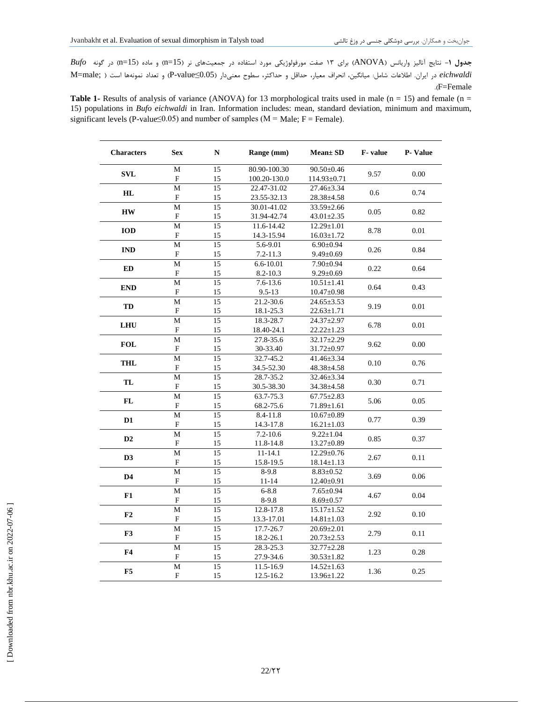**جدول -1** نتایج آنالیز واریانس (ANOVA (براي 13 صفت مورفولوژیکی مورد استفاده در جمعیتهاي نر(15=n (و ماده (15=n (در گونه *Bufo eichwaldi* در ایران. اطلاعات شامل: میانگین، انحراف معیار، حداقل و حداکثر، سطوح معنیدار (0.05≥value-P (و تعداد نمونهها است ( ;male=M .(F=Female

Table 1- Results of analysis of variance (ANOVA) for 13 morphological traits used in male (n = 15) and female (n = 15) populations in *Bufo eichwaldi* in Iran. Information includes: mean, standard deviation, minimum and maximum, significant levels (P-value≤0.05) and number of samples ( $M = Male$ ;  $F = Female$ ).

| <b>Characters</b> | <b>Sex</b>                | N                                     | Range (mm)    | $Mean \pm SD$    | F-value | P-Value      |  |
|-------------------|---------------------------|---------------------------------------|---------------|------------------|---------|--------------|--|
| <b>SVL</b>        | M                         | 15                                    | 80.90-100.30  | $90.50 \pm 0.46$ | 9.57    | 0.00         |  |
|                   | F                         | 15                                    | 100.20-130.0  | 114.93±0.71      |         |              |  |
| HL                | M                         | $\overline{15}$                       | 22.47-31.02   | $27.46 \pm 3.34$ | 0.6     | 0.74         |  |
|                   | F                         | 23.55-32.13<br>15<br>$28.38 \pm 4.58$ |               |                  |         |              |  |
|                   | $\mathbf{M}$              | 15                                    | 30.01-41.02   | $33.59 \pm 2.66$ | 0.05    | 0.82         |  |
| <b>HW</b>         | F                         | 15                                    | 31.94-42.74   | $43.01 \pm 2.35$ |         |              |  |
| <b>IOD</b>        | M                         | 15                                    | 11.6-14.42    | $12.29 \pm 1.01$ | 8.78    | 0.01         |  |
|                   | $\boldsymbol{\mathrm{F}}$ | 15                                    | 14.3-15.94    | $16.03 \pm 1.72$ |         |              |  |
| <b>IND</b>        | M                         | 15                                    | 5.6-9.01      | $6.90 \pm 0.94$  | 0.26    | 0.84         |  |
|                   | ${\bf F}$                 | 15                                    | $7.2 - 11.3$  | $9.49 \pm 0.69$  |         |              |  |
| ED                | M                         | 15                                    | 6.6-10.01     | 7.90±0.94        |         |              |  |
|                   | F                         | 15                                    | $8.2 - 10.3$  | $9.29 \pm 0.69$  | 0.22    | 0.64         |  |
|                   | M                         | 15                                    | $7.6 - 13.6$  | $10.51 \pm 1.41$ |         |              |  |
| <b>END</b>        | $\boldsymbol{\mathrm{F}}$ | 15                                    | $9.5 - 13$    | $10.47 \pm 0.98$ | 0.64    | 0.43         |  |
|                   | M                         | 15                                    | 21.2-30.6     | $24.65 \pm 3.53$ |         |              |  |
| TD                | $\boldsymbol{\mathrm{F}}$ | 15                                    | 18.1-25.3     | $22.63 \pm 1.71$ | 9.19    | 0.01         |  |
|                   | M                         | 15                                    | 18.3-28.7     | 24.37±2.97       |         |              |  |
| LHU               | F                         | 15                                    | 18.40-24.1    | $22.22 \pm 1.23$ | 6.78    | 0.01         |  |
|                   | $\overline{M}$            | $\overline{15}$                       | 27.8-35.6     | $32.17 \pm 2.29$ |         |              |  |
| <b>FOL</b>        | F                         | 15                                    | 30-33.40      | 31.72±0.97       | 9.62    | 0.00         |  |
|                   | M                         | 15                                    | 32.7-45.2     | 41.46±3.34       |         |              |  |
| <b>THL</b>        | F                         | 15                                    | 34.5-52.30    | 48.38±4.58       | 0.10    | 0.76         |  |
|                   | M                         | 15                                    | 28.7-35.2     | $32.46 \pm 3.34$ |         |              |  |
| TL                | F                         | 15                                    | 30.5-38.30    | 34.38±4.58       | 0.30    | 0.71         |  |
|                   | M                         | 15                                    | 63.7-75.3     | $67.75 \pm 2.83$ |         |              |  |
| ${\bf FL}$        | F                         | 15                                    | 68.2-75.6     | $71.89 \pm 1.61$ | 5.06    | 0.05         |  |
|                   | M                         | 15                                    | 8.4-11.8      | $10.67 \pm 0.89$ |         |              |  |
| $\mathbf{D}1$     | F                         | 15                                    | 14.3-17.8     | $16.21 \pm 1.03$ | 0.77    | 0.39         |  |
|                   | $\mathbf{M}$              | 15                                    | $7.2 - 10.6$  | $9.22 \pm 1.04$  |         |              |  |
| D2                | F                         | 15                                    | 11.8-14.8     | 13.27±0.89       | 0.85    | 0.37         |  |
|                   | M                         | 15                                    | $11 - 14.1$   | $12.29 \pm 0.76$ |         |              |  |
| D3                | F                         | 15                                    | 15.8-19.5     | $18.14 \pm 1.13$ | 2.67    | 0.11         |  |
|                   | M                         | 15                                    | $8-9.8$       | $8.83 \pm 0.52$  |         |              |  |
| D <sub>4</sub>    | F                         | 15                                    | $11 - 14$     | $12.40 \pm 0.91$ | 3.69    | 0.06         |  |
|                   | M                         | 15                                    | $6 - 8.8$     | $7.65 \pm 0.94$  |         |              |  |
| F1                | $\boldsymbol{\mathrm{F}}$ | 15                                    | $8-9.8$       | $8.69 \pm 0.57$  | 4.67    | 0.04         |  |
|                   | $\overline{M}$            | $\overline{15}$                       | $12.8 - 17.8$ | $15.17 \pm 1.52$ |         |              |  |
| ${\bf F2}$        | F                         | 15                                    | 13.3-17.01    | $14.81 \pm 1.03$ | 2.92    | $0.10\,$     |  |
|                   | M                         | 15                                    | 17.7-26.7     | $20.69 \pm 2.01$ |         |              |  |
| F3                | F                         | 15                                    | 18.2-26.1     | $20.73 \pm 2.53$ |         | 2.79<br>0.11 |  |
|                   | M                         | $\overline{15}$                       | 28.3-25.3     | 32.77±2.28       |         |              |  |
| F4                | F                         | 15                                    | 27.9-34.6     | $30.53 \pm 1.82$ | 1.23    | 0.28         |  |
|                   | M                         |                                       | 11.5-16.9     | $14.52 \pm 1.63$ |         |              |  |
| F5                | $\boldsymbol{\mathrm{F}}$ | 15<br>15                              | 12.5-16.2     | 13.96±1.22       | 1.36    | 0.25         |  |
|                   |                           |                                       |               |                  |         |              |  |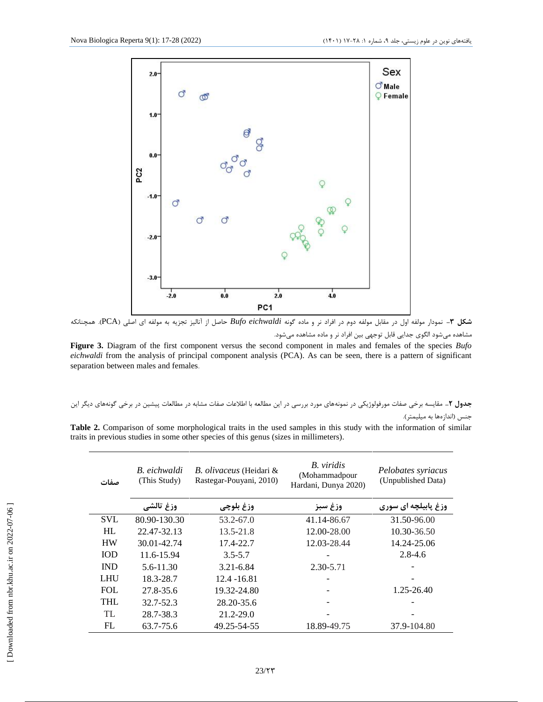

**شکل -3** نمودار مولفه اول در مقابل مولفه دوم در افراد نر و ماده گونه *eichwaldi Bufo* حاصل از آنالیز تجزیه به مولفه اي اصلی (PCA(*.* همچنانکه مشاهده میشود الگوي جدایی قابل توجهی بین افراد نر و ماده مشاهده میشود.

**Figure 3.** Diagram of the first component versus the second component in males and females of the species *Bufo eichwaldi* from the analysis of principal component analysis (PCA). As can be seen, there is a pattern of significant separation between males and females.

**جدول -2** مقایسه برخی صفات مورفولوژیکی در نمونههاي مورد بررسی در این مطالعه با اطلاعات صفات مشابه در مطالعات پیشین در برخی گونههاي دیگر این جنس (اندازهها به میلیمتر).

**Table 2.** Comparison of some morphological traits in the used samples in this study with the information of similar traits in previous studies in some other species of this genus (sizes in millimeters).

| صفات       | B. eichwaldi<br>(This Study) | <i>B. olivaceus</i> (Heidari &<br>Rastegar-Pouyani, 2010) | B. viridis<br>(Mohammadpour<br>Hardani, Dunya 2020) | Pelobates syriacus<br>(Unpublished Data) |
|------------|------------------------------|-----------------------------------------------------------|-----------------------------------------------------|------------------------------------------|
|            | وزغ تالشي                    | وزغ بلوچي                                                 | وزغ سبز                                             | وزغ پابیلچه ای سوری                      |
| <b>SVL</b> | 80.90-130.30                 | 53.2-67.0                                                 | 41.14-86.67                                         | 31.50-96.00                              |
| HL         | 22.47-32.13                  | $13.5 - 21.8$                                             | 12.00-28.00                                         | 10.30-36.50                              |
| <b>HW</b>  | 30.01-42.74                  | 17.4-22.7                                                 | 12.03-28.44                                         | 14.24-25.06                              |
| <b>IOD</b> | 11.6-15.94                   | $3.5 - 5.7$                                               |                                                     | $2.8 - 4.6$                              |
| <b>IND</b> | 5.6-11.30                    | 3.21-6.84                                                 | 2.30-5.71                                           |                                          |
| LHU        | 18.3-28.7                    | 12.4 - 16.81                                              |                                                     |                                          |
| <b>FOL</b> | 27.8-35.6                    | 19.32-24.80                                               |                                                     | 1.25-26.40                               |
| <b>THL</b> | 32.7-52.3                    | 28.20-35.6                                                |                                                     |                                          |
| TL         | 28.7-38.3                    | 21.2-29.0                                                 |                                                     |                                          |
| FL         | 63.7-75.6                    | 49.25-54-55                                               | 18.89-49.75                                         | 37.9-104.80                              |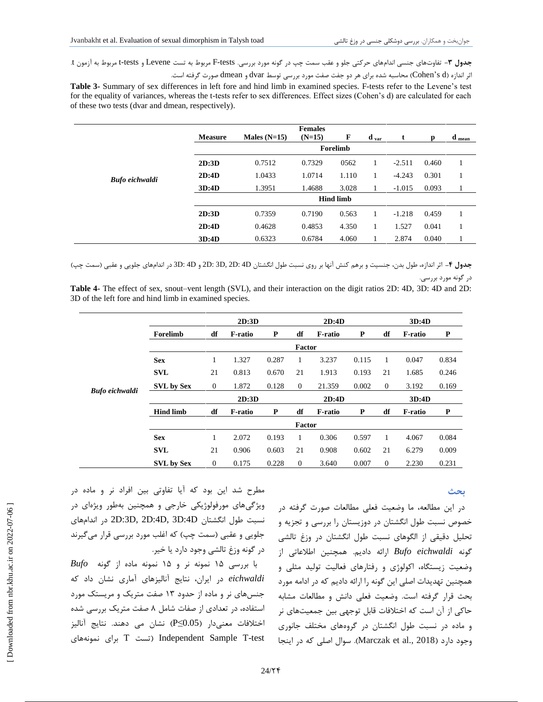**جدول -3** تفاوتهاي جنسی اندامهاي حرکتی جلو و عقب سمت چپ در گونه مورد بررسی. tests-F مربوط به تست Levene و tests-t مربوط به آزمون t. اثر اندازه (d s'Cohen (محاسبه شده براي هر دو جفت صفت مورد بررسی توسط dvar و dmean صورت گرفته است.

**Table 3-** Summary of sex differences in left fore and hind limb in examined species. F-tests refer to the Levene's test for the equality of variances, whereas the t-tests refer to sex differences. Effect sizes (Cohen's d) are calculated for each of these two tests (dvar and dmean, respectively).

|                | <b>Measure</b> | Males $(N=15)$ | <b>Females</b><br>$(N=15)$ | F                | $\mathbf{d}$ var | t        | D     | $\mathbf d$ mean |  |  |  |  |
|----------------|----------------|----------------|----------------------------|------------------|------------------|----------|-------|------------------|--|--|--|--|
|                |                | Forelimb       |                            |                  |                  |          |       |                  |  |  |  |  |
|                | 2D:3D          | 0.7512         | 0.7329                     | 0562             |                  | $-2.511$ | 0.460 |                  |  |  |  |  |
| Bufo eichwaldi | 2D:4D          | 1.0433         | 1.0714                     | 1.110            | 1                | $-4.243$ | 0.301 |                  |  |  |  |  |
|                | 3D:4D          | 1.3951         | 1.4688                     | 3.028            | 1                | $-1.015$ | 0.093 |                  |  |  |  |  |
|                |                |                |                            | <b>Hind limb</b> |                  |          |       |                  |  |  |  |  |
|                | 2D:3D          | 0.7359         | 0.7190                     | 0.563            |                  | $-1.218$ | 0.459 |                  |  |  |  |  |
|                | 2D:4D          | 0.4628         | 0.4853                     | 4.350            |                  | 1.527    | 0.041 |                  |  |  |  |  |
|                | 3D:4D          | 0.6323         | 0.6784                     | 4.060            |                  | 2.874    | 0.040 |                  |  |  |  |  |

**جدول -4** اثر اندازه، طول بدن، جنسیت و برهم کنش آنها بر روي نسبت طول انگشتان D4 :D2 ,D3 :D2 و D4 :D3 در اندامهاي جلویی و عقبی (سمت چپ) در گونه مورد بررسی.

**Table 4-** The effect of sex, snout–vent length (SVL), and their interaction on the digit ratios 2D: 4D, 3D: 4D and 2D: 3D of the left fore and hind limb in examined species.

|                       |                   | 2D:3D            |                |       | 2D:4D    |                |       | 3D:4D          |                |           |
|-----------------------|-------------------|------------------|----------------|-------|----------|----------------|-------|----------------|----------------|-----------|
|                       | Forelimb          | df               | <b>F-ratio</b> | P     | df       | <b>F-ratio</b> | P     | df             | <b>F-ratio</b> | ${\bf P}$ |
|                       | Factor            |                  |                |       |          |                |       |                |                |           |
|                       | <b>Sex</b>        | 1                | 1.327          | 0.287 | 1        | 3.237          | 0.115 | 1              | 0.047          | 0.834     |
|                       | <b>SVL</b>        | 21               | 0.813          | 0.670 | 21       | 1.913          | 0.193 | 21             | 1.685          | 0.246     |
| <b>Bufo eichwaldi</b> | <b>SVL by Sex</b> | $\boldsymbol{0}$ | 1.872          | 0.128 | $\theta$ | 21.359         | 0.002 | $\overline{0}$ | 3.192          | 0.169     |
|                       |                   |                  | 2D:3D<br>2D:4D |       |          |                | 3D:4D |                |                |           |
|                       | <b>Hind limb</b>  | df               | <b>F-ratio</b> | P     | df       | <b>F-ratio</b> | P     | df             | <b>F-ratio</b> | P         |
|                       | Factor            |                  |                |       |          |                |       |                |                |           |
|                       | <b>Sex</b>        | 1                | 2.072          | 0.193 | 1        | 0.306          | 0.597 | 1              | 4.067          | 0.084     |
|                       | <b>SVL</b>        | 21               | 0.906          | 0.603 | 21       | 0.908          | 0.602 | 21             | 6.279          | 0.009     |
|                       | <b>SVL by Sex</b> | $\mathbf{0}$     | 0.175          | 0.228 | $\theta$ | 3.640          | 0.007 | $\overline{0}$ | 2.230          | 0.231     |

#### **بحث**

در این مطالعه، ما وضعیت فعلی مطالعات صورت گرفته در خصوص نسبت طول انگشتان در دوزیستان را بررسی و تجزیه و تحلیل دقیقی از الگوهاي نسبت طول انگشتان در وزغ تالشی گونه *eichwaldi Bufo* ارائه دادیم. همچنین اطلاعاتی از وضعیت زیستگاه، اکولوژي و رفتارهاي فعالیت تولید مثلی و همچنین تهدیدات اصلی این گونه را ارائه دادیم که در ادامه مورد بحث قرار گرفته است. وضعیت فعلی دانش و مطالعات مشابه حاکی از آن است که اختلافات قابل توجهی بین جمعیتهاي نر و ماده در نسبت طول انگشتان در گروههاي مختلف جانوري وجود دارد (2018 .Marczak et al). سوال اصلی که در اینجا

مطرح شد این بود که آیا تفاوتی بین افراد نر و ماده در ویژگیهاي مورفولوژیکی خارجی و همچنین بهطور ویژهاي در اندامهاي در 2D:3D, 2D:4D, 3D:4D انگشتان طول نسبت جلویی و عقبی (سمت چپ) که اغلب مورد بررسی قرار میگیرند در گونه وزغ تالشی وجود دارد یا خیر.

با بررسی 15 نمونه نر و 15 نمونه ماده از گونه *Bufo eichwaldi* در ایران، نتایج آنالیزهاي آماري نشان داد که جنسهاي نر و ماده از حدود 13 صفت متریک و مریستک مورد استفاده، در تعدادي از صفات شامل 8 صفت متریک بررسی شده اختلافات معنیدار (0.05≥P (نشان می دهند. نتایج آنالیز تست T براي نمونههاي Independent Sample T-test

 [\[ Downloaded from nbr.khu.ac.ir on 2022-](https://nbr.khu.ac.ir/article-1-3466-en.html)07-06 ] Downloaded from nbr.khu.ac.ir on 2022-07-06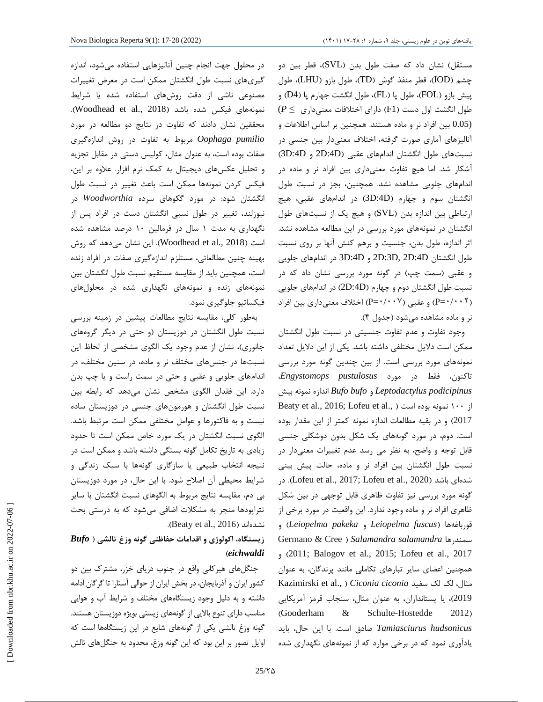در محلول جهت انجام چنین آنالیزهایی استفاده میشود، اندازه گیريهاي نسبت طول انگشتان ممکن است در معرض تغییرات مصنوعی ناشی از دقت روشهاي استفاده شده یا شرایط نمونههای فیکس شده باشد (Woodhead et al., 2018). محققین نشان دادند که تفاوت در نتایج دو مطالعه در مورد *pumilio Oophaga* مربوط به تفاوت در روش اندازهگیري صفات بوده است، به عنوان مثال، کولیس دستی در مقابل تجزیه و تحلیل عکسهاي دیجیتال به کمک نرم افزار. علاوه بر این، فیکس کردن نمونهها ممکن است باعث تغییر در نسبت طول انگشتان شود: در مورد گکوهاي سرده *Woodworthia* در نیوزلند، تغییر در طول نسبی انگشتان دست در افراد پس از نگهداري به مدت 1 سال در فرمالین 10 درصد مشاهده شده است (2018 .,al et Woodhead(. این نشان میدهد که روش بهینه چنین مطالعاتی، مستلزم اندازهگیري صفات در افراد زنده است، همچنین باید از مقایسه مستقیم نسبت طول انگشتان بین نمونههاي زنده و نمونههاي نگهداري شده در محلولهاي فیکساتیو جلوگیري نمود.

بهطور کلی، مقایسه نتایج مطالعات پیشین در زمینه بررسی نسبت طول انگشتان در دوزیستان (و حتی در دیگر گروههاي جانوري)، نشان از عدم وجود یک الگوي مشخصی از لحاظ این نسبتها در جنسهاي مختلف نر و ماده، در سنین مختلف، در اندامهاي جلویی و عقبی و حتی در سمت راست و یا چپ بدن دارد. این فقدان الگوي مشخص نشان میدهد که رابطه بین نسبت طول انگشتان و هورمونهاي جنسی در دوزیستان ساده نیست و به فاکتورها و عوامل مختلفی ممکن است مرتبط باشد. الگوي نسبت انگشتان در یک مورد خاص ممکن است تا حدود زیادي به تاریخ تکامل گونه بستگی داشته باشد و ممکن است در نتیجه انتخاب طبیعی یا سازگاري گونهها با سبک زندگی و شرایط محیطی آن اصلاح شود. با این حال، در مورد دوزیستان بی دم، مقایسه نتایج مربوط به الگوهاي نسبت انگشتان با سایر تتراپودها منجر به مشکلات اضافی میشود که به درستی بحث .(Beaty et al., 2016) نشدهاند

### **زیستگاه، اکولوژي و اقدامات حفاظتی گونه وزغ تالشی (** *Bufo* **(***eichwaldi*

جنگلهاي هیرکانی واقع در جنوب دریاي خزر، مشترك بین دو کشور ایران و آذربایجان، در بخش ایران از حوالی آستارا تا گرگان ادامه داشته و به دلیل وجود زیستگاههاي مختلف و شرایط آب و هوایی مناسب داراي تنوع بالایی از گونههاي زیستی بویژه دوزیستان هستند. گونه وزغ تالشی یکی از گونههاي شایع در این زیستگاهها است که اوایل تصور بر این بود که این گونه وزغ، محدود به جنگلهاي تالش

مستقل) نشان داد که صفت طول بدن (SVL(، قطر بین دو چشم (IOD(، قطر منفذ گوش (TD(، طول بازو (LHU(، طول پیش بازو (FOL(، طول پا (FL(، طول انگشت جهارم پا (4D (و طول انگشت اول دست (1F (داراي اختلافات معنیداري ≥ *P*( (0.05 بین افراد نر و ماده هستند. همچنین بر اساس اطلاعات و آنالیزهاي آماري صورت گرفته، اختلاف معنیدار بین جنسی در نسبتهاي طول انگشتان اندامهاي عقبی (D:4D2 و D:4D3( آشکار شد. اما هیچ تفاوت معنیداري بین افراد نر و ماده در اندامهاي جلویی مشاهده نشد. همچنین، بجز در نسبت طول انگشتان سوم و چهارم (D:4D3 (در اندامهاي عقبی، هیچ ارتباطی بین اندازه بدن (SVL (و هیچ یک از نسبتهاي طول انگشتان در نمونههاي مورد بررسی در این مطالعه مشاهده نشد. اثر اندازه، طول بدن، جنسیت و برهم کنش آنها بر روي نسبت طول انگشتان D:4D2 ,D:3D2 و D:4D3 در اندامهاي جلویی و عقبی (سمت چپ) در گونه مورد بررسی نشان داد که در نسبت طول انگشتان دوم و چهارم (D:4D2 (در اندامهاي جلویی ( P=•/••\*) و عقبی (۰۰۰×+P=+) اختلاف معنیداری بین افراد نر و ماده مشاهده میشود (جدول 4).

وجود تفاوت و عدم تفاوت جنسیتی در نسبت طول انگشتان ممکن است دلایل مختلفی داشته باشد. یکی از این دلایل تعداد نمونههاي مورد بررسی است. از بین چندین گونه مورد بررسی تاکنون، فقط در مورد *pustulosus Engystomops*، *podicipinus Leptodactylus* و *bufo Bufo* اندازه نمونه بیش Beaty et al., 2016; Lofeu et al., ) از ۱۰۰ نمونه بوده است 2017) و در بقیه مطالعات اندازه نمونه کمتر از این مقدار بوده است. دوم، در مورد گونههاي یک شکل بدون دوشکلی جنسی قابل توجه و واضح، به نظر می رسد عدم تغییرات معنیدار در نسبت طول انگشتان بین افراد نر و ماده، حالت پیش بینی در .)Lofeu et al., 2017; Lofeu et al., 2020) باشد شدهاي گونه مورد بررسی نیز تفاوت ظاهري قابل توجهی در بین شکل ظاهري افراد نر و ماده وجود ندارد. این واقعیت در مورد برخی از و) *Leiopelma pakeka* و *Leiopelma fuscus*) قورباغهها Germano & Cree ) *Salamandra salamandra* سمندرها و) 2011 ;Balogov et al., 2015; Lofeu et al., 2017 همچنین اعضاي سایر تبارهاي تکاملی مانند پرندگان، به عنوان Kazimirski et al., ) *Ciconia ciconia* سفید لک لک ،مثال 2019)، یا پستانداران، به عنوان مثال، سنجاب قرمز آمریکایی (Gooderham & Schulte-Hostedde 2012) *hudsonicus Tamiasciurus* صادق است. با این حال، باید یادآوري نمودکه در برخی موارد که از نمونههاي نگهداري شده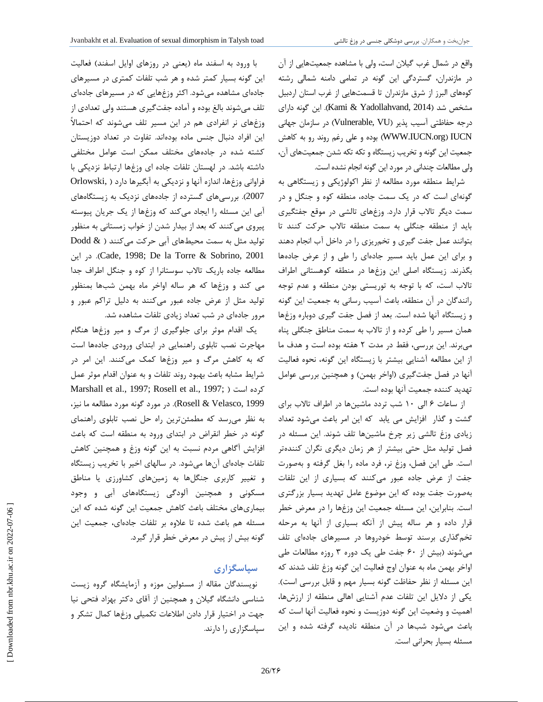واقع در شمال غرب گیلان است، ولی با مشاهده جمعیتهایی از آن در مازندران، گستردگی این گونه در تمامی دامنه شمالی رشته کوههاي البرز از شرق مازندران تا قسمتهایی از غرب استان اردبیل مشخص شد (2014 ,Yadollahvand & Kami(. این گونه داراي درجه حفاظتی آسیب پذیر (Vulnerable, VU) در سازمان جهانی IUCN) org.IUCN.WWW (بوده و علی رغم روند رو به کاهش جمعیت این گونه و تخریب زیستگاه و تکه تکه شدن جمعیتهاي آن، ولی مطالعات چندانی در مورد این گونه انجام نشده است.

شرایط منطقه مورد مطالعه از نظر اکولوژیکی و زیستگاهی به گونهاي است که در یک سمت جاده، منطقه کوه و جنگل و در سمت دیگر تالاب قرار دارد. وزغهاي تالشی در موقع جفتگیري باید از منطقه جنگلی به سمت منطقه تالاب حرکت کنند تا بتوانند عمل جفت گیري و تخمریزي را در داخل آب انجام دهند و براي این عمل باید مسیر جادهاي را طی و از عرض جادهها بگذرند. زیستگاه اصلی این وزغها در منطقه کوهستانی اطراف تالاب است، که با توجه به توریستی بودن منطقه و عدم توجه رانندگان در آن منطقه، باعث آسیب رسانی به جمعیت این گونه و زیستگاه آنها شده است. بعد از فصل جفت گیري دوباره وزغها همان مسیر را طی کرده و از تالاب به سمت مناطق جنگلی پناه میبرند. این بررسی، فقط در مدت 2 هفته بوده است و هدف ما از این مطالعه آشنایی بیشتر با زیستگاه این گونه، نحوه فعالیت آنها در فصل جفتگیري (اواخر بهمن) و همچنین بررسی عوامل تهدید کننده جمعیت آنها بوده است.

از ساعات 6 الی 10 شب تردد ماشینها در اطراف تالاب براي گشت و گذار افزایش می یابد که این امر باعث میشود تعداد زیادي وزغ تالشی زیر چرخ ماشینها تلف شوند. این مسئله در فصل تولید مثل حتی بیشتر از هر زمان دیگري نگران کنندهتر است. طی این فصل، وزغ نر، فرد ماده را بغل گرفته و بهصورت جفت از عرض جاده عبور میکنند که بسیاري از این تلفات بهصورت جفت بوده که این موضوع عامل تهدید بسیار بزرگتري است. بنابراین، این مسئله جمعیت این وزغها را در معرض خطر قرار داده و هر ساله پیش از آنکه بسیاري از آنها به مرحله تخمگذاري برسند توسط خودروها در مسیرهاي جادهاي تلف میشوند (بیش از 60 جفت طی یک دوره 3 روزه مطالعات طی اواخر بهمن ماه به عنوان اوج فعالیت این گونه وزغ تلف شدند که این مسئله از نظر حفاظت گونه بسیار مهم و قابل بررسی است). یکی از دلایل این تلفات عدم آشنایی اهالی منطقه از ارزشها، اهمیت و وضعیت این گونه دوزیست و نحوه فعالیت آنها است که باعث میشود شبها در آن منطقه نادیده گرفته شده و این مسئله بسیار بحرانی است.

با ورود به اسفند ماه (یعنی در روزهاي اوایل اسفند) فعالیت این گونه بسیار کمتر شده و هر شب تلفات کمتري در مسیرهاي جادهاي مشاهده میشود. اکثر وزغهایی که در مسیرهاي جادهاي تلف میشوند بالغ بوده و آماده جفتگیري هستند ولی تعدادي از وزغهاي نر انفرادي هم در این مسیر تلف میشوند که احتمالاً این افراد دنبال جنس ماده بودهاند. تفاوت در تعداد دوزیستان کشته شده در جادههاي مختلف ممکن است عوامل مختلفی داشته باشد. در لهستان تلفات جاده اي وزغها ارتباط نزدیکی با فراوانی وزغها، اندازه آنها و نزدیکی به آبگیرها دارد ( ,Orlowski 2007). بررسیهاي گسترده از جادههاي نزدیک به زیستگاههاي آبی این مسئله را ایجاد میکند که وزغها از یک جریان پیوسته پیروي میکنند که بعد از بیدار شدن از خواب زمستانی به منظور تولید مثل به سمت محیطهاي آبی حرکت میکنند ( & Dodd این در .)Cade, 1998; De la Torre & Sobrino, 2001 مطالعه جاده باریک تالاب سوستانرا از کوه و جنگل اطراف جدا می کند و وزغها که هر ساله اواخر ماه بهمن شبها بمنظور تولید مثل از عرض جاده عبور میکنند به دلیل تراکم عبور و مرور جادهاي در شب تعداد زیادي تلفات مشاهده شد.

یک اقدام موثر براي جلوگیري از مرگ و میر وزغها هنگام مهاجرت نصب تابلوي راهنمایی در ابتداي ورودي جادهها است که به کاهش مرگ و میر وزغها کمک میکنند. این امر در شرایط مشابه باعث بهبود روند تلفات و به عنوان اقدام موثر عمل Marshall et al., 1997; Rosell et al., 1997; ) است کرده 1999 ,Velasco & Rosell(. در مورد گونه مورد مطالعه ما نیز، به نظر میرسد که مطمئنترین راه حل نصب تابلوي راهنماي گونه در خطر انقراض در ابتداي ورود به منطقه است که باعث افزایش آگاهی مردم نسبت به این گونه وزغ و همچنین کاهش تلفات جادهاي آنها میشود. در سالهاي اخیر با تخریب زیستگاه و تغییر کاربري جنگلها به زمینهاي کشاورزي یا مناطق مسکونی و همچنین آلودگی زیستگاههاي آبی و وجود بیماريهاي مختلف باعث کاهش جمعیت این گونه شده که این مسئله هم باعث شده تا علاوه بر تلفات جادهاي، جمعیت این گونه بیش از پیش در معرض خطر قرار گیرد.

#### **سپاسگزاري**

نویسندگان مقاله از مسئولین موزه و آزمایشگاه گروه زیست شناسی دانشگاه گیلان و همچنین از آقاي دکتر بهزاد فتحی نیا جهت در اختیار قرار دادن اطلاعات تکمیلی وزغها کمال تشکر و سپاسگزاري را دارند.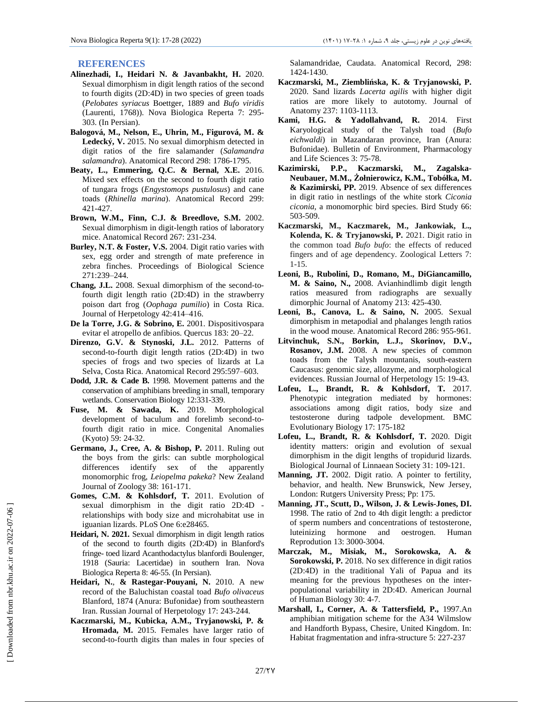#### **REFERENCES**

- **Alinezhadi, I., Heidari N. & Javanbakht, H.** 2020. Sexual dimorphism in digit length ratios of the second to fourth digits (2D:4D) in two species of green toads (*Pelobates syriacus* Boettger, 1889 and *Bufo viridis* (Laurenti, 1768)). Nova Biologica Reperta 7:295- 303. (In Persian).
- **Balogová, M., Nelson, E., Uhrin, M., Figurová, M. & Ledecký, V.** 2015. No sexual dimorphism detected in digit ratios of the fire salamander (*Salamandra salamandra*). Anatomical Record 298: 1786-1795.
- **Beaty, L., Emmering, Q.C. & Bernal, X.E.** 2016. Mixed sex effects on the second to fourth digit ratio of tungara frogs (*Engystomops pustulosus*) and cane toads (*Rhinella marina*). Anatomical Record 299: 421-427.
- **Brown, W.M., Finn, C.J. & Breedlove, S.M.** 2002. Sexual dimorphism in digit-length ratios of laboratory mice. Anatomical Record 267: 231-234.
- **Burley, N.T. & Foster, V.S.** 2004. Digit ratio varies with sex, egg order and strength of mate preference in zebra finches. Proceedings of Biological Science 271:239–244.
- **Chang, J.L.** 2008. Sexual dimorphism of the second-tofourth digit length ratio (2D:4D) in the strawberry poison dart frog (*Oophaga pumilio*) in Costa Rica. Journal of Herpetology 42:414–416.
- **De la Torre, J.G. & Sobrino, E.** 2001. Dispositivospara evitar el atropello de anfibios. Quercus 183: 20–22.
- **Direnzo, G.V. & Stynoski, J.L.** 2012. Patterns of second-to-fourth digit length ratios (2D:4D) in two species of frogs and two species of lizards at La Selva, Costa Rica. Anatomical Record 295:597–603.
- **Dodd, J.R. & Cade B.** 1998. Movement patterns and the conservation of amphibians breeding in small, temporary wetlands. Conservation Biology 12:331-339.
- **Fuse, M. & Sawada, K.** 2019. Morphological development of baculum and forelimb second-tofourth digit ratio in mice. Congenital Anomalies (Kyoto) 59: 24-32.
- **Germano, J., Cree, A. & Bishop, P.** 2011. Ruling out the boys from the girls: can subtle morphological differences identify sex of the apparently monomorphic frog, *Leiopelma pakeka*? New Zealand Journal of Zoology 38: 161-171.
- **Gomes, C.M. & Kohlsdorf, T.** 2011. Evolution of sexual dimorphism in the digit ratio 2D:4D relationships with body size and microhabitat use in iguanian lizards. PLoS One 6:e28465.
- **Heidari, N. 2021.** Sexual dimorphism in digit length ratios of the second to fourth digits (2D:4D) in Blanford's fringe- toed lizard Acanthodactylus blanfordi Boulenger, 1918 (Sauria: Lacertidae) in southern Iran. Nova Biologica Reperta 8: 46-55. (In Persian).
- **Heidari, N.**, **& Rastegar-Pouyani, N.** 2010. A new record of the Baluchistan coastal toad *Bufo olivaceus* Blanford, 1874 (Anura: Bufonidae) from southeastern Iran. Russian Journal of Herpetology 17: 243-244.
- **Kaczmarski, M., Kubicka, A.M., Tryjanowski, P. & Hromada, M.** 2015. Females have larger ratio of second-to-fourth digits than males in four species of

Salamandridae, Caudata. Anatomical Record, 298: 1424-1430.

- Kaczmarski, M., Ziembli ska, K. & Tryjanowski, P. 2020. Sand lizards *Lacerta agilis* with higher digit ratios are more likely to autotomy. Journal of Anatomy 237: 1103-1113.
- **Kami, H.G. & Yadollahvand, R.** 2014. First Karyological study of the Talysh toad (*Bufo eichwaldi*) in Mazandaran province, Iran (Anura: Bufonidae). Bulletin of Environment, Pharmacology and Life Sciences 3: 75-78.
- **Kazimirski, P.P., Kaczmarski, M., Zagalska- Neubauer, M.M., Żołnierowicz, K.M., Tobółka, M. & Kazimirski, PP.** 2019. Absence of sex differences in digit ratio in nestlings of the white stork *Ciconia ciconia*, a monomorphic bird species. Bird Study 66: 503-509.
- **Kaczmarski, M., Kaczmarek, M., Jankowiak, L., Kolenda, K. & Tryjanowski, P.** 2021. Digit ratio in the common toad *Bufo bufo*: the effects of reduced fingers and of age dependency. Zoological Letters 7: 1-15.
- **Leoni, B., Rubolini, D., Romano, M., DiGiancamillo, M. & Saino, N.,** 2008. Avianhindlimb digit length ratios measured from radiographs are sexually dimorphic Journal of Anatomy 213: 425-430.
- **Leoni, B., Canova, L. & Saino, N.** 2005. Sexual dimorphism in metapodial and phalanges length ratios in the wood mouse. Anatomical Record 286: 955-961.
- **Litvinchuk, S.N., Borkin, L.J., Skorinov, D.V., Rosanov, J.M.** 2008. A new species of common toads from the Talysh mountanis, south-eastern Caucasus: genomic size, allozyme, and morphological evidences. Russian Journal of Herpetology 15: 19-43.
- **Lofeu, L., Brandt, R. & Kohlsdorf, T.** 2017. Phenotypic integration mediated by hormones: associations among digit ratios, body size and testosterone during tadpole development. BMC Evolutionary Biology 17: 175-182
- **Lofeu, L., Brandt, R. & Kohlsdorf, T.** 2020. Digit identity matters: origin and evolution of sexual dimorphism in the digit lengths of tropidurid lizards. Biological Journal of Linnaean Society 31: 109-121.
- **Manning, JT.** 2002. Digit ratio. A pointer to fertility, behavior, and health. New Brunswick, New Jersey, London: Rutgers University Press; Pp: 175.
- **Manning, JT., Scutt, D., Wilson, J. & Lewis-Jones, DI.** 1998. The ratio of 2nd to 4th digit length: a predictor of sperm numbers and concentrations of testosterone, luteinizing hormone and oestrogen. Human Reprodution 13: 3000-3004.
- **Marczak, M., Misiak, M., Sorokowska, A. & Sorokowski, P.** 2018. No sex difference in digit ratios (2D:4D) in the traditional Yali of Papua and its meaning for the previous hypotheses on the inter populational variability in 2D:4D. American Journal of Human Biology 30: 4-7.
- **Marshall, I., Corner, A. & Tattersfield, P.,** 1997.An amphibian mitigation scheme for the A34 Wilmslow and Handforth Bypass, Chesire, United Kingdom. In: Habitat fragmentation and infra-structure 5: 227-237